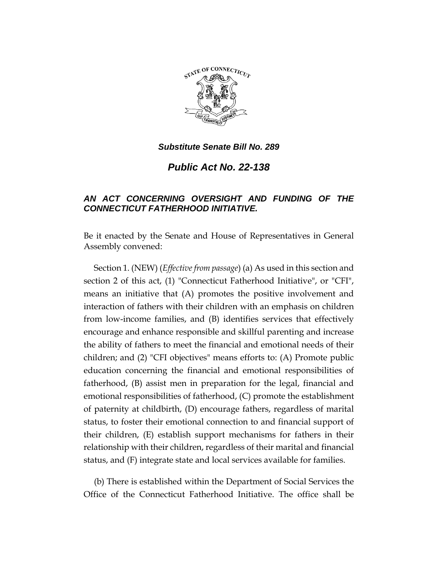

*Public Act No. 22-138*

# *AN ACT CONCERNING OVERSIGHT AND FUNDING OF THE CONNECTICUT FATHERHOOD INITIATIVE.*

Be it enacted by the Senate and House of Representatives in General Assembly convened:

Section 1. (NEW) (*Effective from passage*) (a) As used in this section and section 2 of this act, (1) "Connecticut Fatherhood Initiative", or "CFI", means an initiative that (A) promotes the positive involvement and interaction of fathers with their children with an emphasis on children from low-income families, and (B) identifies services that effectively encourage and enhance responsible and skillful parenting and increase the ability of fathers to meet the financial and emotional needs of their children; and (2) "CFI objectives" means efforts to: (A) Promote public education concerning the financial and emotional responsibilities of fatherhood, (B) assist men in preparation for the legal, financial and emotional responsibilities of fatherhood, (C) promote the establishment of paternity at childbirth, (D) encourage fathers, regardless of marital status, to foster their emotional connection to and financial support of their children, (E) establish support mechanisms for fathers in their relationship with their children, regardless of their marital and financial status, and (F) integrate state and local services available for families.

(b) There is established within the Department of Social Services the Office of the Connecticut Fatherhood Initiative. The office shall be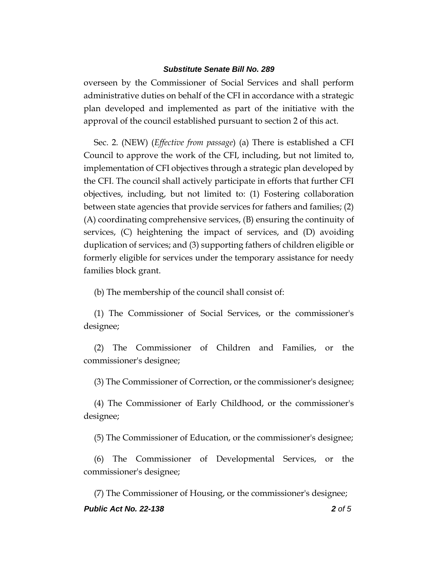overseen by the Commissioner of Social Services and shall perform administrative duties on behalf of the CFI in accordance with a strategic plan developed and implemented as part of the initiative with the approval of the council established pursuant to section 2 of this act.

Sec. 2. (NEW) (*Effective from passage*) (a) There is established a CFI Council to approve the work of the CFI, including, but not limited to, implementation of CFI objectives through a strategic plan developed by the CFI. The council shall actively participate in efforts that further CFI objectives, including, but not limited to: (1) Fostering collaboration between state agencies that provide services for fathers and families; (2) (A) coordinating comprehensive services, (B) ensuring the continuity of services, (C) heightening the impact of services, and (D) avoiding duplication of services; and (3) supporting fathers of children eligible or formerly eligible for services under the temporary assistance for needy families block grant.

(b) The membership of the council shall consist of:

(1) The Commissioner of Social Services, or the commissioner's designee;

(2) The Commissioner of Children and Families, or the commissioner's designee;

(3) The Commissioner of Correction, or the commissioner's designee;

(4) The Commissioner of Early Childhood, or the commissioner's designee;

(5) The Commissioner of Education, or the commissioner's designee;

(6) The Commissioner of Developmental Services, or the commissioner's designee;

*Public Act No. 22-138 2 of 5* (7) The Commissioner of Housing, or the commissioner's designee;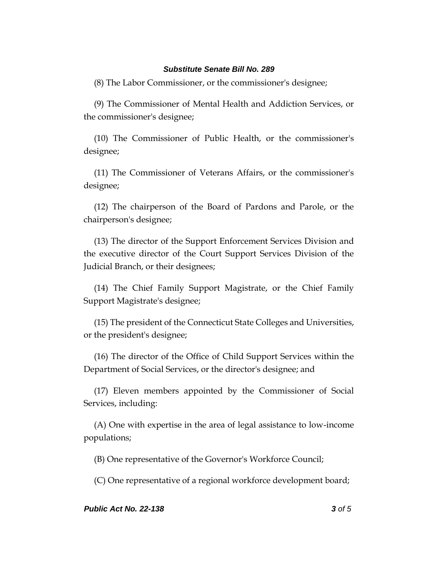(8) The Labor Commissioner, or the commissioner's designee;

(9) The Commissioner of Mental Health and Addiction Services, or the commissioner's designee;

(10) The Commissioner of Public Health, or the commissioner's designee;

(11) The Commissioner of Veterans Affairs, or the commissioner's designee;

(12) The chairperson of the Board of Pardons and Parole, or the chairperson's designee;

(13) The director of the Support Enforcement Services Division and the executive director of the Court Support Services Division of the Judicial Branch, or their designees;

(14) The Chief Family Support Magistrate, or the Chief Family Support Magistrate's designee;

(15) The president of the Connecticut State Colleges and Universities, or the president's designee;

(16) The director of the Office of Child Support Services within the Department of Social Services, or the director's designee; and

(17) Eleven members appointed by the Commissioner of Social Services, including:

(A) One with expertise in the area of legal assistance to low-income populations;

(B) One representative of the Governor's Workforce Council;

(C) One representative of a regional workforce development board;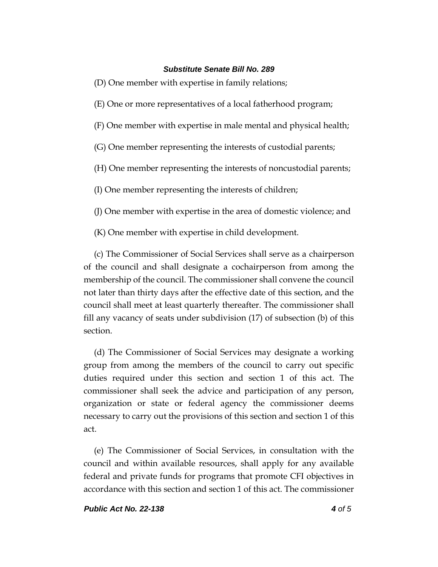(D) One member with expertise in family relations;

(E) One or more representatives of a local fatherhood program;

(F) One member with expertise in male mental and physical health;

(G) One member representing the interests of custodial parents;

(H) One member representing the interests of noncustodial parents;

(I) One member representing the interests of children;

(J) One member with expertise in the area of domestic violence; and

(K) One member with expertise in child development.

(c) The Commissioner of Social Services shall serve as a chairperson of the council and shall designate a cochairperson from among the membership of the council. The commissioner shall convene the council not later than thirty days after the effective date of this section, and the council shall meet at least quarterly thereafter. The commissioner shall fill any vacancy of seats under subdivision (17) of subsection (b) of this section.

(d) The Commissioner of Social Services may designate a working group from among the members of the council to carry out specific duties required under this section and section 1 of this act. The commissioner shall seek the advice and participation of any person, organization or state or federal agency the commissioner deems necessary to carry out the provisions of this section and section 1 of this act.

(e) The Commissioner of Social Services, in consultation with the council and within available resources, shall apply for any available federal and private funds for programs that promote CFI objectives in accordance with this section and section 1 of this act. The commissioner